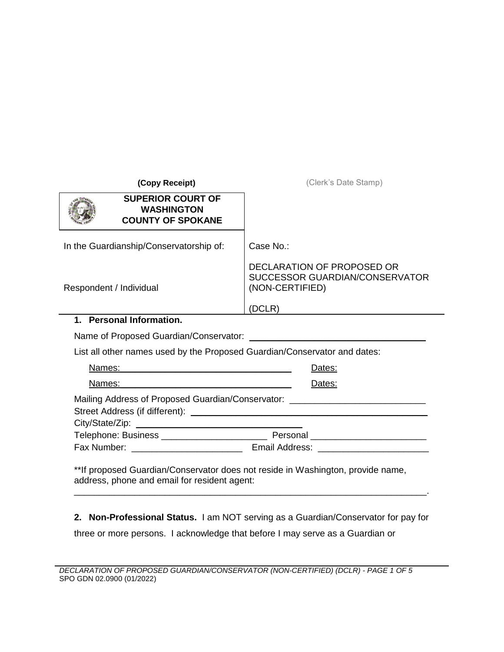| (Copy Receipt)                                                                                                                  | (Clerk's Date Stamp)                                                             |
|---------------------------------------------------------------------------------------------------------------------------------|----------------------------------------------------------------------------------|
| <b>SUPERIOR COURT OF</b><br><b>WASHINGTON</b><br><b>COUNTY OF SPOKANE</b>                                                       |                                                                                  |
| In the Guardianship/Conservatorship of:                                                                                         | Case No.:                                                                        |
| Respondent / Individual                                                                                                         | DECLARATION OF PROPOSED OR<br>SUCCESSOR GUARDIAN/CONSERVATOR<br>(NON-CERTIFIED)  |
| 1. Personal Information.                                                                                                        | (DCLR)                                                                           |
|                                                                                                                                 |                                                                                  |
| List all other names used by the Proposed Guardian/Conservator and dates:                                                       |                                                                                  |
| Names:<br><u> 1989 - Andrea Andrew Maria (h. 1989).</u>                                                                         | Dates:                                                                           |
| Names: Names:                                                                                                                   | Dates:                                                                           |
|                                                                                                                                 | Mailing Address of Proposed Guardian/Conservator: ______________________________ |
|                                                                                                                                 |                                                                                  |
|                                                                                                                                 |                                                                                  |
| **If proposed Guardian/Conservator does not reside in Washington, provide name,<br>address, phone and email for resident agent: |                                                                                  |

**2. Non-Professional Status.** I am NOT serving as a Guardian/Conservator for pay for

 $\_$  , and the set of the set of the set of the set of the set of the set of the set of the set of the set of the set of the set of the set of the set of the set of the set of the set of the set of the set of the set of th

three or more persons. I acknowledge that before I may serve as a Guardian or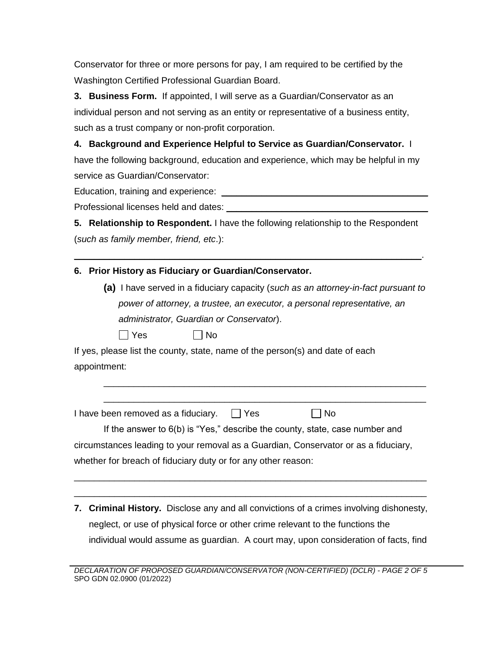Conservator for three or more persons for pay, I am required to be certified by the Washington Certified Professional Guardian Board.

**3. Business Form.** If appointed, I will serve as a Guardian/Conservator as an individual person and not serving as an entity or representative of a business entity, such as a trust company or non-profit corporation.

**4. Background and Experience Helpful to Service as Guardian/Conservator.** I have the following background, education and experience, which may be helpful in my service as Guardian/Conservator:

Education, training and experience: \_\_\_\_\_\_\_\_\_\_\_\_\_\_\_\_\_\_\_\_\_\_\_\_\_\_\_\_\_\_\_\_\_\_\_\_\_\_\_\_\_

Professional licenses held and dates:  $\Box$ 

**5. Relationship to Respondent.** I have the following relationship to the Respondent (*such as family member, friend, etc*.):

\_\_\_\_\_\_\_\_\_\_\_\_\_\_\_\_\_\_\_\_\_\_\_\_\_\_\_\_\_\_\_\_\_\_\_\_\_\_\_\_\_\_\_\_\_\_\_\_\_\_\_\_\_\_\_\_\_\_\_\_\_\_\_\_\_\_\_\_\_.

## **6. Prior History as Fiduciary or Guardian/Conservator.**

**(a)** I have served in a fiduciary capacity (*such as an attorney-in-fact pursuant to power of attorney, a trustee, an executor, a personal representative, an administrator, Guardian or Conservator*).

\_\_\_\_\_\_\_\_\_\_\_\_\_\_\_\_\_\_\_\_\_\_\_\_\_\_\_\_\_\_\_\_\_\_\_\_\_\_\_\_\_\_\_\_\_\_\_\_\_\_\_\_\_\_\_\_\_\_\_\_\_\_\_\_ \_\_\_\_\_\_\_\_\_\_\_\_\_\_\_\_\_\_\_\_\_\_\_\_\_\_\_\_\_\_\_\_\_\_\_\_\_\_\_\_\_\_\_\_\_\_\_\_\_\_\_\_\_\_\_\_\_\_\_\_\_\_\_\_

 $\Box$  Yes  $\Box$  No

If yes, please list the county, state, name of the person(s) and date of each appointment:

I have been removed as a fiduciary.  $\Box$  Yes  $\Box$  No

If the answer to 6(b) is "Yes," describe the county, state, case number and

circumstances leading to your removal as a Guardian, Conservator or as a fiduciary,

whether for breach of fiduciary duty or for any other reason:

**7. Criminal History.** Disclose any and all convictions of a crimes involving dishonesty, neglect, or use of physical force or other crime relevant to the functions the individual would assume as guardian. A court may, upon consideration of facts, find

\_\_\_\_\_\_\_\_\_\_\_\_\_\_\_\_\_\_\_\_\_\_\_\_\_\_\_\_\_\_\_\_\_\_\_\_\_\_\_\_\_\_\_\_\_\_\_\_\_\_\_\_\_\_\_\_\_\_\_\_\_\_\_\_\_\_\_\_\_\_ \_\_\_\_\_\_\_\_\_\_\_\_\_\_\_\_\_\_\_\_\_\_\_\_\_\_\_\_\_\_\_\_\_\_\_\_\_\_\_\_\_\_\_\_\_\_\_\_\_\_\_\_\_\_\_\_\_\_\_\_\_\_\_\_\_\_\_\_\_\_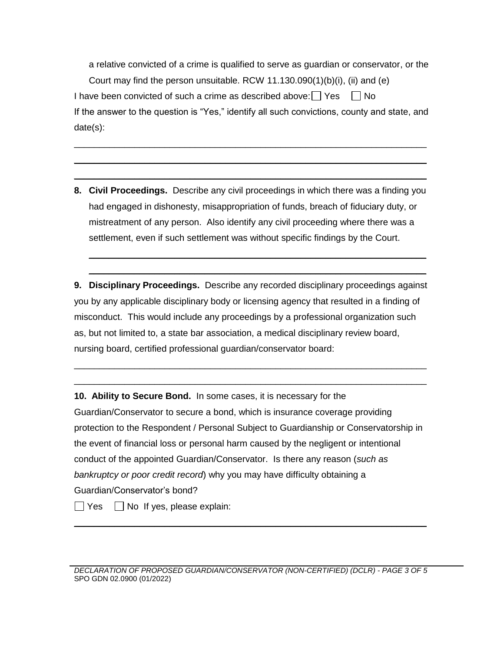a relative convicted of a crime is qualified to serve as guardian or conservator, or the Court may find the person unsuitable. RCW  $11.130.090(1)(b)(i)$ , (ii) and (e) I have been convicted of such a crime as described above:  $\Box$  Yes  $\Box$  No If the answer to the question is "Yes," identify all such convictions, county and state, and date(s):

\_\_\_\_\_\_\_\_\_\_\_\_\_\_\_\_\_\_\_\_\_\_\_\_\_\_\_\_\_\_\_\_\_\_\_\_\_\_\_\_\_\_\_\_\_\_\_\_\_\_\_\_\_\_\_\_\_\_\_\_\_\_\_\_\_\_\_\_\_\_ \_\_\_\_\_\_\_\_\_\_\_\_\_\_\_\_\_\_\_\_\_\_\_\_\_\_\_\_\_\_\_\_\_\_\_\_\_\_\_\_\_\_\_\_\_\_\_\_\_\_\_\_\_\_\_\_\_\_\_\_\_\_\_\_\_\_\_\_\_\_ \_\_\_\_\_\_\_\_\_\_\_\_\_\_\_\_\_\_\_\_\_\_\_\_\_\_\_\_\_\_\_\_\_\_\_\_\_\_\_\_\_\_\_\_\_\_\_\_\_\_\_\_\_\_\_\_\_\_\_\_\_\_\_\_\_\_\_\_\_\_

**8. Civil Proceedings.** Describe any civil proceedings in which there was a finding you had engaged in dishonesty, misappropriation of funds, breach of fiduciary duty, or mistreatment of any person. Also identify any civil proceeding where there was a settlement, even if such settlement was without specific findings by the Court.

\_\_\_\_\_\_\_\_\_\_\_\_\_\_\_\_\_\_\_\_\_\_\_\_\_\_\_\_\_\_\_\_\_\_\_\_\_\_\_\_\_\_\_\_\_\_\_\_\_\_\_\_\_\_\_\_\_\_\_\_\_\_\_\_\_\_\_ \_\_\_\_\_\_\_\_\_\_\_\_\_\_\_\_\_\_\_\_\_\_\_\_\_\_\_\_\_\_\_\_\_\_\_\_\_\_\_\_\_\_\_\_\_\_\_\_\_\_\_\_\_\_\_\_\_\_\_\_\_\_\_\_\_\_\_

**9. Disciplinary Proceedings.** Describe any recorded disciplinary proceedings against you by any applicable disciplinary body or licensing agency that resulted in a finding of misconduct. This would include any proceedings by a professional organization such as, but not limited to, a state bar association, a medical disciplinary review board, nursing board, certified professional guardian/conservator board:

\_\_\_\_\_\_\_\_\_\_\_\_\_\_\_\_\_\_\_\_\_\_\_\_\_\_\_\_\_\_\_\_\_\_\_\_\_\_\_\_\_\_\_\_\_\_\_\_\_\_\_\_\_\_\_\_\_\_\_\_\_\_\_\_\_\_\_\_\_\_ \_\_\_\_\_\_\_\_\_\_\_\_\_\_\_\_\_\_\_\_\_\_\_\_\_\_\_\_\_\_\_\_\_\_\_\_\_\_\_\_\_\_\_\_\_\_\_\_\_\_\_\_\_\_\_\_\_\_\_\_\_\_\_\_\_\_\_\_\_\_

**10. Ability to Secure Bond.** In some cases, it is necessary for the Guardian/Conservator to secure a bond, which is insurance coverage providing protection to the Respondent / Personal Subject to Guardianship or Conservatorship in the event of financial loss or personal harm caused by the negligent or intentional conduct of the appointed Guardian/Conservator. Is there any reason (*such as bankruptcy or poor credit record*) why you may have difficulty obtaining a Guardian/Conservator's bond?

 $\Box$  Yes  $\Box$  No If yes, please explain:

\_\_\_\_\_\_\_\_\_\_\_\_\_\_\_\_\_\_\_\_\_\_\_\_\_\_\_\_\_\_\_\_\_\_\_\_\_\_\_\_\_\_\_\_\_\_\_\_\_\_\_\_\_\_\_\_\_\_\_\_\_\_\_\_\_\_\_\_\_\_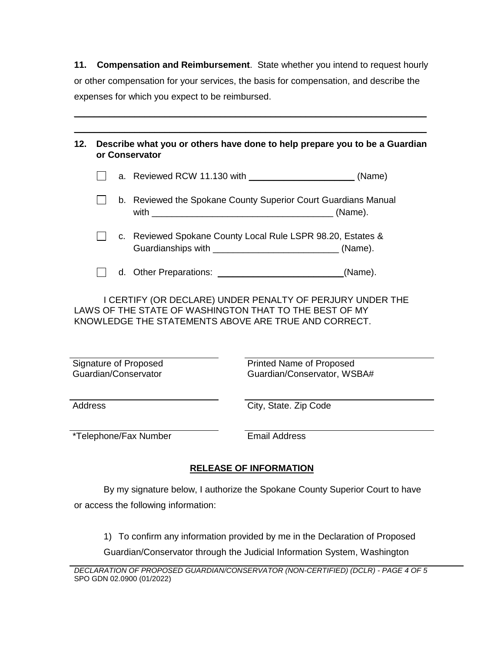**11. Compensation and Reimbursement**. State whether you intend to request hourly or other compensation for your services, the basis for compensation, and describe the expenses for which you expect to be reimbursed.

\_\_\_\_\_\_\_\_\_\_\_\_\_\_\_\_\_\_\_\_\_\_\_\_\_\_\_\_\_\_\_\_\_\_\_\_\_\_\_\_\_\_\_\_\_\_\_\_\_\_\_\_\_\_\_\_\_\_\_\_\_\_\_\_\_\_\_\_\_\_

| 12. | Describe what you or others have done to help prepare you to be a Guardian<br>or Conservator |  |                                                                                                                                         |
|-----|----------------------------------------------------------------------------------------------|--|-----------------------------------------------------------------------------------------------------------------------------------------|
|     |                                                                                              |  | a. Reviewed RCW 11.130 with _______________________________(Name)                                                                       |
|     |                                                                                              |  | b. Reviewed the Spokane County Superior Court Guardians Manual<br>with<br>(Name).<br><u> 1989 - Johann John Harry Hermann (f. 1989)</u> |
|     |                                                                                              |  | c. Reviewed Spokane County Local Rule LSPR 98.20, Estates &<br>(Name).                                                                  |
|     |                                                                                              |  | (Name).                                                                                                                                 |

I CERTIFY (OR DECLARE) UNDER PENALTY OF PERJURY UNDER THE LAWS OF THE STATE OF WASHINGTON THAT TO THE BEST OF MY KNOWLEDGE THE STATEMENTS ABOVE ARE TRUE AND CORRECT.

Signature of Proposed Guardian/Conservator

Printed Name of Proposed Guardian/Conservator, WSBA#

Address City, State. Zip Code

\*Telephone/Fax Number **Email Address** 

## **RELEASE OF INFORMATION**

By my signature below, I authorize the Spokane County Superior Court to have or access the following information:

1) To confirm any information provided by me in the Declaration of Proposed Guardian/Conservator through the Judicial Information System, Washington

*DECLARATION OF PROPOSED GUARDIAN/CONSERVATOR (NON-CERTIFIED) (DCLR) - PAGE 4 OF 5* SPO GDN 02.0900 (01/2022)